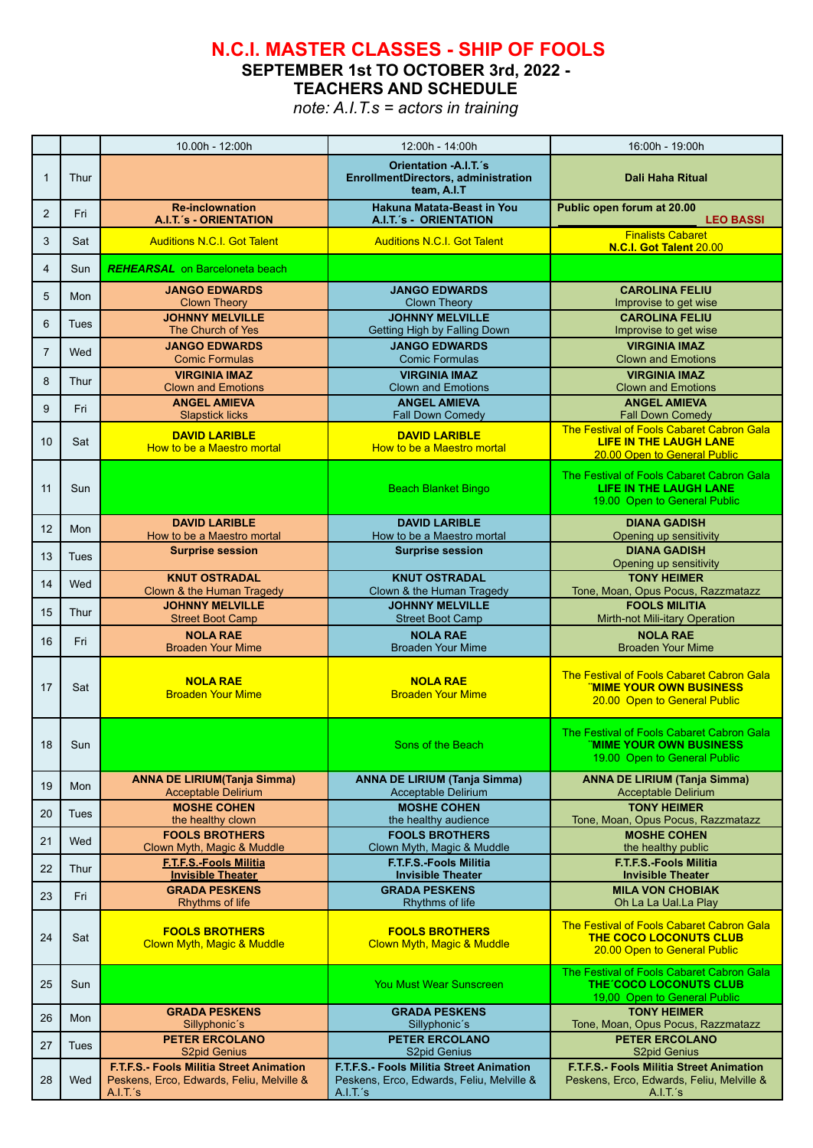## **N.C.I. MASTER CLASSES - SHIP OF FOOLS**

**SEPTEMBER 1st TO OCTOBER 3rd, 2022 -**

**TEACHERS AND SCHEDULE**

*note: A.I.T.s = actors in training*

|                |             | 10.00h - 12:00h                                                                                   | 12:00h - 14:00h                                                                                   | 16:00h - 19:00h                                                                                                    |
|----------------|-------------|---------------------------------------------------------------------------------------------------|---------------------------------------------------------------------------------------------------|--------------------------------------------------------------------------------------------------------------------|
| $\mathbf{1}$   | Thur        |                                                                                                   | Orientation -A.I.T.'s<br><b>EnrollmentDirectors, administration</b><br>team, A.I.T                | <b>Dali Haha Ritual</b>                                                                                            |
| $\overline{2}$ | Fri         | <b>Re-inclownation</b><br><b>A.I.T.'s - ORIENTATION</b>                                           | Hakuna Matata-Beast in You<br><b>A.I.T.'s - ORIENTATION</b>                                       | Public open forum at 20.00<br><b>LEO BASSI</b>                                                                     |
| 3              | Sat         | <b>Auditions N.C.I. Got Talent</b>                                                                | <b>Auditions N.C.I. Got Talent</b>                                                                | <b>Finalists Cabaret</b><br>N.C.I. Got Talent 20.00                                                                |
| 4              | Sun         | <b>REHEARSAL</b> on Barceloneta beach                                                             |                                                                                                   |                                                                                                                    |
| 5              | Mon         | <b>JANGO EDWARDS</b><br><b>Clown Theory</b>                                                       | <b>JANGO EDWARDS</b><br><b>Clown Theory</b>                                                       | <b>CAROLINA FELIU</b><br>Improvise to get wise                                                                     |
| 6              | Tues        | <b>JOHNNY MELVILLE</b><br>The Church of Yes                                                       | <b>JOHNNY MELVILLE</b><br>Getting High by Falling Down                                            | <b>CAROLINA FELIU</b><br>Improvise to get wise                                                                     |
| $\overline{7}$ | Wed         | <b>JANGO EDWARDS</b><br><b>Comic Formulas</b>                                                     | <b>JANGO EDWARDS</b><br><b>Comic Formulas</b>                                                     | <b>VIRGINIA IMAZ</b><br><b>Clown and Emotions</b>                                                                  |
| 8              | Thur        | <b>VIRGINIA IMAZ</b><br><b>Clown and Emotions</b>                                                 | <b>VIRGINIA IMAZ</b><br><b>Clown and Emotions</b>                                                 | <b>VIRGINIA IMAZ</b><br><b>Clown and Emotions</b>                                                                  |
| 9              | Fri         | <b>ANGEL AMIEVA</b><br><b>Slapstick licks</b>                                                     | <b>ANGEL AMIEVA</b><br><b>Fall Down Comedy</b>                                                    | <b>ANGEL AMIEVA</b><br><b>Fall Down Comedy</b>                                                                     |
| 10             | Sat         | <b>DAVID LARIBLE</b><br>How to be a Maestro mortal                                                | <b>DAVID LARIBLE</b><br>How to be a Maestro mortal                                                | The Festival of Fools Cabaret Cabron Gala<br><b>LIFE IN THE LAUGH LANE</b><br>20.00 Open to General Public         |
| 11             | Sun         |                                                                                                   | <b>Beach Blanket Bingo</b>                                                                        | The Festival of Fools Cabaret Cabron Gala<br>LIFE IN THE LAUGH LANE<br>19.00 Open to General Public                |
| 12             | Mon         | <b>DAVID LARIBLE</b><br>How to be a Maestro mortal                                                | <b>DAVID LARIBLE</b><br>How to be a Maestro mortal                                                | <b>DIANA GADISH</b><br>Opening up sensitivity                                                                      |
| 13             | <b>Tues</b> | <b>Surprise session</b>                                                                           | <b>Surprise session</b>                                                                           | <b>DIANA GADISH</b><br>Opening up sensitivity                                                                      |
| 14             | Wed         | <b>KNUT OSTRADAL</b><br>Clown & the Human Tragedy                                                 | <b>KNUT OSTRADAL</b><br>Clown & the Human Tragedy                                                 | <b>TONY HEIMER</b><br>Tone, Moan, Opus Pocus, Razzmatazz                                                           |
| 15             | Thur        | <b>JOHNNY MELVILLE</b><br><b>Street Boot Camp</b>                                                 | <b>JOHNNY MELVILLE</b><br><b>Street Boot Camp</b>                                                 | <b>FOOLS MILITIA</b><br>Mirth-not Mili-itary Operation                                                             |
| 16             | Fri         | <b>NOLA RAE</b><br><b>Broaden Your Mime</b>                                                       | <b>NOLA RAE</b><br><b>Broaden Your Mime</b>                                                       | <b>NOLA RAE</b><br><b>Broaden Your Mime</b>                                                                        |
| 17             | Sat         | <b>NOLA RAE</b><br><b>Broaden Your Mime</b>                                                       | <b>NOLA RAE</b><br><b>Broaden Your Mime</b>                                                       | <b>The Festival of Fools Cabaret Cabron Gala</b><br><u>"MIME YOUR OWN BUSINESS</u><br>20.00 Open to General Public |
| 18             | Sun         |                                                                                                   | Sons of the Beach                                                                                 | The Festival of Fools Cabaret Cabron Gala<br><b>"MIME YOUR OWN BUSINESS</b><br>19.00 Open to General Public        |
| 19             | Mon         | <b>ANNA DE LIRIUM(Tanja Simma)</b><br>Acceptable Delirium                                         | <b>ANNA DE LIRIUM (Tanja Simma)</b><br>Acceptable Delirium                                        | <b>ANNA DE LIRIUM (Tanja Simma)</b><br>Acceptable Delirium                                                         |
| 20             | Tues        | <b>MOSHE COHEN</b><br>the healthy clown                                                           | <b>MOSHE COHEN</b><br>the healthy audience                                                        | <b>TONY HEIMER</b><br>Tone, Moan, Opus Pocus, Razzmatazz                                                           |
| 21             | Wed         | <b>FOOLS BROTHERS</b><br>Clown Myth, Magic & Muddle                                               | <b>FOOLS BROTHERS</b><br>Clown Myth, Magic & Muddle                                               | <b>MOSHE COHEN</b><br>the healthy public                                                                           |
| 22             | Thur        | <b>F.T.F.S.-Fools Militia</b><br><b>Invisible Theater</b>                                         | <b>F.T.F.S.-Fools Militia</b><br><b>Invisible Theater</b>                                         | <b>F.T.F.S.-Fools Militia</b><br><b>Invisible Theater</b>                                                          |
| 23             | Fri         | <b>GRADA PESKENS</b><br>Rhythms of life                                                           | <b>GRADA PESKENS</b><br>Rhythms of life                                                           | <b>MILA VON CHOBIAK</b><br>Oh La La Ual.La Play                                                                    |
| 24             | Sat         | <b>FOOLS BROTHERS</b><br>Clown Myth, Magic & Muddle                                               | <b>FOOLS BROTHERS</b><br>Clown Myth, Magic & Muddle                                               | <b>The Festival of Fools Cabaret Cabron Gala</b><br><b>THE COCO LOCONUTS CLUB</b><br>20.00 Open to General Public  |
| 25             | Sun         |                                                                                                   | <b>You Must Wear Sunscreen</b>                                                                    | The Festival of Fools Cabaret Cabron Gala<br>THE COCO LOCONUTS CLUB<br>19,00 Open to General Public                |
| 26             | Mon         | <b>GRADA PESKENS</b><br>Sillyphonic's                                                             | <b>GRADA PESKENS</b><br>Sillyphonic's                                                             | <b>TONY HEIMER</b><br>Tone, Moan, Opus Pocus, Razzmatazz                                                           |
| 27             | Tues        | <b>PETER ERCOLANO</b><br><b>S2pid Genius</b>                                                      | <b>PETER ERCOLANO</b><br>S2pid Genius                                                             | <b>PETER ERCOLANO</b><br><b>S2pid Genius</b>                                                                       |
| 28             | Wed         | F.T.F.S.- Fools Militia Street Animation<br>Peskens, Erco, Edwards, Feliu, Melville &<br>A.I.T.'s | F.T.F.S.- Fools Militia Street Animation<br>Peskens, Erco, Edwards, Feliu, Melville &<br>A.I.T.'s | F.T.F.S.- Fools Militia Street Animation<br>Peskens, Erco, Edwards, Feliu, Melville &<br>A.I.T.'s                  |